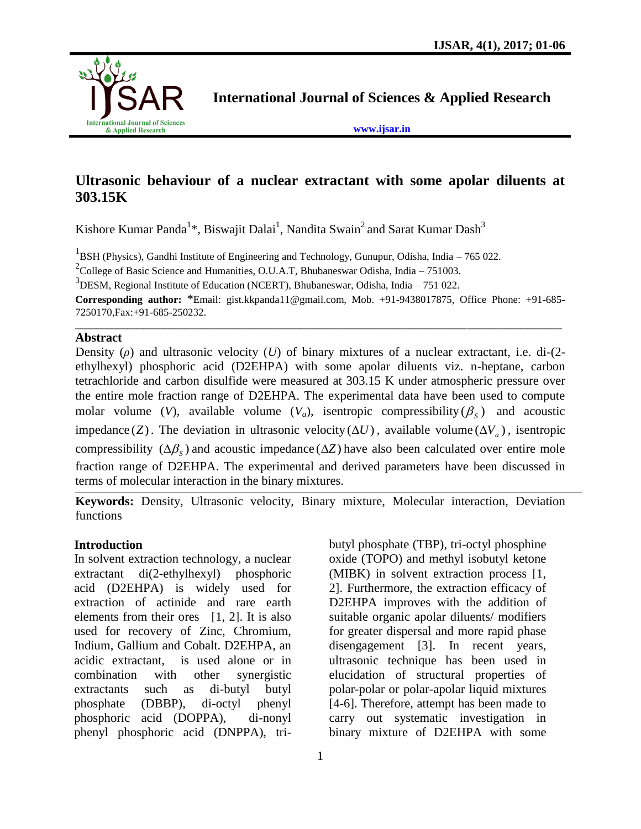

**International Journal of Sciences & Applied Research**

**[www.ijsar.in](http://www.ijsar.in/)**

# **Ultrasonic behaviour of a nuclear extractant with some apolar diluents at 303.15K**

Kishore Kumar Panda<sup>1\*</sup>, Biswajit Dalai<sup>1</sup>, Nandita Swain<sup>2</sup> and Sarat Kumar Dash<sup>3</sup>

<sup>1</sup>BSH (Physics), Gandhi Institute of Engineering and Technology, Gunupur, Odisha, India – 765 022.

<sup>2</sup>College of Basic Science and Humanities, O.U.A.T, Bhubaneswar Odisha, India – 751003.

3 DESM, Regional Institute of Education (NCERT), Bhubaneswar, Odisha, India – 751 022.

**Corresponding author:** \*Email: gist.kkpanda11@gmail.com, Mob. +91-9438017875, Office Phone: +91-685- 7250170,Fax:+91-685-250232. \_\_\_\_\_\_\_\_\_\_\_\_\_\_\_\_\_\_\_\_\_\_\_\_\_\_\_\_\_\_\_\_\_\_\_\_\_\_\_\_\_\_\_\_\_\_\_\_\_\_\_\_\_\_\_\_\_\_\_\_\_\_\_\_\_\_\_\_\_\_\_\_\_\_\_\_\_\_\_\_\_\_\_\_\_\_\_\_\_\_\_\_\_

# **Abstract**

Density (*ρ*) and ultrasonic velocity (*U*) of binary mixtures of a nuclear extractant, i.e. di-(2 ethylhexyl) phosphoric acid (D2EHPA) with some apolar diluents viz. n-heptane, carbon tetrachloride and carbon disulfide were measured at 303.15 K under atmospheric pressure over the entire mole fraction range of D2EHPA. The experimental data have been used to compute molar volume (V), available volume  $(V_a)$ , isentropic compressibility  $(\beta_s)$  and acoustic impedance (Z). The deviation in ultrasonic velocity ( $\Delta U$ ), available volume ( $\Delta V_a$ ), isentropic compressibility  $(\Delta \beta_s)$  and acoustic impedance  $(\Delta Z)$  have also been calculated over entire mole fraction range of D2EHPA. The experimental and derived parameters have been discussed in terms of molecular interaction in the binary mixtures.

**Keywords:** Density, Ultrasonic velocity, Binary mixture, Molecular interaction, Deviation functions

# **Introduction**

In solvent extraction technology, a nuclear extractant di(2-ethylhexyl) phosphoric acid (D2EHPA) is widely used for extraction of actinide and rare earth elements from their ores  $[1, 2]$ . It is also used for recovery of Zinc, Chromium, Indium, Gallium and Cobalt. D2EHPA, an acidic extractant, is used alone or in combination with other synergistic extractants such as di-butyl butyl phosphate (DBBP), di-octyl phenyl phosphoric acid (DOPPA), di-nonyl phenyl phosphoric acid (DNPPA), tributyl phosphate (TBP), tri-octyl phosphine oxide (TOPO) and methyl isobutyl ketone (MIBK) in solvent extraction process [1, 2]. Furthermore, the extraction efficacy of D2EHPA improves with the addition of suitable organic apolar diluents/ modifiers for greater dispersal and more rapid phase disengagement [3]. In recent years, ultrasonic technique has been used in elucidation of structural properties of polar-polar or polar-apolar liquid mixtures [4-6]. Therefore, attempt has been made to carry out systematic investigation in binary mixture of D2EHPA with some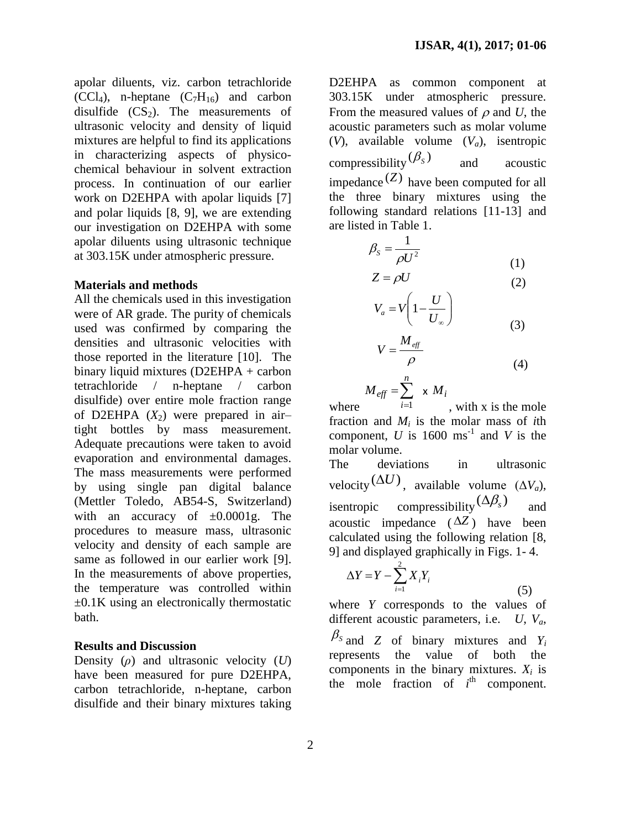apolar diluents, viz. carbon tetrachloride  $(CCl<sub>4</sub>)$ , n-heptane  $(C<sub>7</sub>H<sub>16</sub>)$  and carbon disulfide  $(CS_2)$ . The measurements of ultrasonic velocity and density of liquid mixtures are helpful to find its applications in characterizing aspects of physicochemical behaviour in solvent extraction process. In continuation of our earlier work on D2EHPA with apolar liquids [7] and polar liquids [8, 9], we are extending our investigation on D2EHPA with some apolar diluents using ultrasonic technique at 303.15K under atmospheric pressure.

#### **Materials and methods**

All the chemicals used in this investigation were of AR grade. The purity of chemicals used was confirmed by comparing the densities and ultrasonic velocities with those reported in the literature [10]. The binary liquid mixtures (D2EHPA + carbon tetrachloride / n-heptane / carbon disulfide) over entire mole fraction range of D2EHPA  $(X_2)$  were prepared in airtight bottles by mass measurement. Adequate precautions were taken to avoid evaporation and environmental damages. The mass measurements were performed by using single pan digital balance (Mettler Toledo, AB54-S, Switzerland) with an accuracy of  $\pm 0.0001$ g. The procedures to measure mass, ultrasonic velocity and density of each sample are same as followed in our earlier work [9]. In the measurements of above properties, the temperature was controlled within  $\pm 0.1$ K using an electronically thermostatic bath.

# **Results and Discussion**

Density (*ρ*) and ultrasonic velocity (*U*) have been measured for pure D2EHPA, carbon tetrachloride, n-heptane, carbon disulfide and their binary mixtures taking

D2EHPA as common component at 303.15K under atmospheric pressure. From the measured values of  $\rho$  and *U*, the acoustic parameters such as molar volume (*V*), available volume (*Va*), isentropic compressibility  $(\beta_s)$ and acoustic impedance (*Z*) have been computed for all the three binary mixtures using the following standard relations [11-13] and are listed in Table 1.

$$
\beta_s = \frac{1}{\rho U^2} \tag{1}
$$

$$
Z = \rho U \tag{2}
$$

$$
V_a = V \left( 1 - \frac{U}{U_\infty} \right)
$$
\n
$$
M \tag{3}
$$

$$
V = \frac{M_{\text{eff}}}{\rho} \tag{4}
$$

$$
M_{\text{eff}} = \sum_{i=1}^{n} \times M_i
$$

where 1 *i* , with x is the mole fraction and *M<sup>i</sup>* is the molar mass of *i*th component, *U* is 1600 ms<sup>-1</sup> and *V* is the molar volume.

The deviations in ultrasonic velocity  $(\Delta U)$ , available volume  $(\Delta V_a)$ , isentropic compressibility  $(\Delta \beta_s)$ and acoustic impedance  $(\Delta Z)$  have been calculated using the following relation [8, 9] and displayed graphically in Figs. 1- 4.

$$
\Delta Y = Y - \sum_{i=1}^{2} X_i Y_i
$$

where *Y* corresponds to the values of different acoustic parameters, i.e. *U*, *Va*,  $\beta_s$  and *Z* of binary mixtures and *Y<sub>i</sub>* represents the value of both the components in the binary mixtures.  $X_i$  is the mole fraction of  $i<sup>th</sup>$  component.

(5)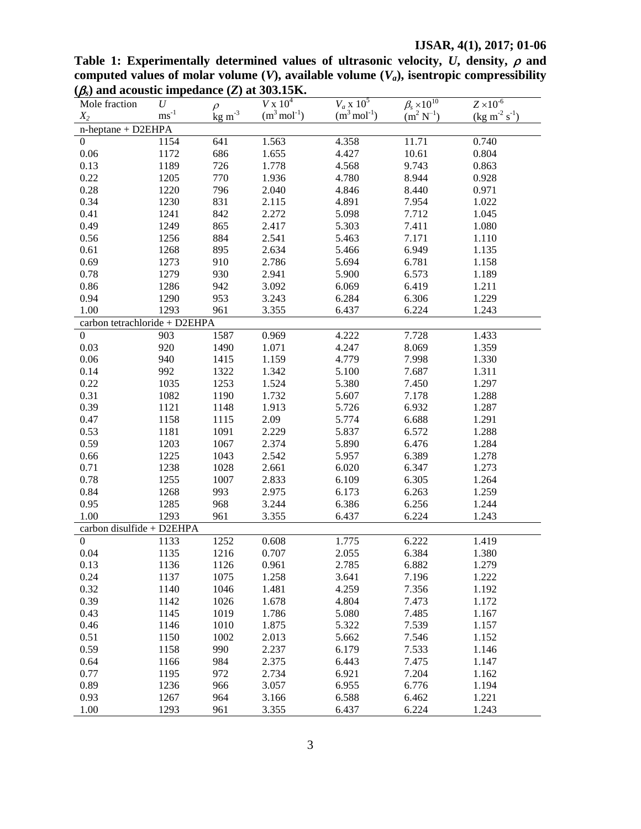# **IJSAR, 4(1), 2017; 01-06**

| $(\beta_s)$ and acoustic impedance (Z) at 303.15K. |                           |                                         |                          |                          |                          |                                     |
|----------------------------------------------------|---------------------------|-----------------------------------------|--------------------------|--------------------------|--------------------------|-------------------------------------|
| Mole fraction                                      | $\boldsymbol{U}$          | $\rho$                                  | $V \times 10^4$          | $V_a \times 10^5$        | $\beta_s \times 10^{10}$ | $Z \times 10^{-6}$                  |
| $X_2$                                              | $\mathrm{ms}^{\text{-}1}$ | $\underline{\text{kg}}$ m <sup>-3</sup> | $(m^3 \text{ mol}^{-1})$ | $(m^3 \text{ mol}^{-1})$ | $(m^2 N^{-1})$           | $(\text{kg m}^{-2} \text{ s}^{-1})$ |
| n-heptane + D2EHPA                                 |                           |                                         |                          |                          |                          |                                     |
| $\overline{0}$                                     | 1154                      | 641                                     | 1.563                    | 4.358                    | 11.71                    | 0.740                               |
| $0.06\,$                                           | 1172                      | 686                                     | 1.655                    | 4.427                    | 10.61                    | 0.804                               |
| 0.13                                               | 1189                      | 726                                     | 1.778                    | 4.568                    | 9.743                    | 0.863                               |
| 0.22                                               | 1205                      | 770                                     | 1.936                    | 4.780                    | 8.944                    | 0.928                               |
| 0.28                                               | 1220                      | 796                                     | 2.040                    | 4.846                    | 8.440                    | 0.971                               |
| 0.34                                               | 1230                      | 831                                     | 2.115                    | 4.891                    | 7.954                    | 1.022                               |
| 0.41                                               | 1241                      | 842                                     | 2.272                    | 5.098                    | 7.712                    | 1.045                               |
| 0.49                                               | 1249                      | 865                                     | 2.417                    | 5.303                    | 7.411                    | 1.080                               |
| 0.56                                               | 1256                      | 884                                     | 2.541                    | 5.463                    | 7.171                    | 1.110                               |
| 0.61                                               | 1268                      | 895                                     | 2.634                    | 5.466                    | 6.949                    | 1.135                               |
| 0.69                                               | 1273                      | 910                                     | 2.786                    | 5.694                    | 6.781                    | 1.158                               |
| 0.78                                               | 1279                      | 930                                     | 2.941                    | 5.900                    | 6.573                    | 1.189                               |
| 0.86                                               | 1286                      | 942                                     | 3.092                    | 6.069                    | 6.419                    | 1.211                               |
| 0.94                                               | 1290                      | 953                                     | 3.243                    | 6.284                    | 6.306                    | 1.229                               |
| 1.00                                               | 1293                      | 961                                     | 3.355                    | 6.437                    | 6.224                    | 1.243                               |
| carbon tetrachloride + D2EHPA                      |                           |                                         |                          |                          |                          |                                     |
| $\boldsymbol{0}$                                   | 903                       | 1587                                    | 0.969                    | 4.222                    | 7.728                    | 1.433                               |
| 0.03                                               | 920                       | 1490                                    | 1.071                    | 4.247                    | 8.069                    | 1.359                               |
| 0.06                                               | 940                       | 1415                                    | 1.159                    | 4.779                    | 7.998                    | 1.330                               |
| 0.14                                               | 992                       | 1322                                    | 1.342                    | 5.100                    | 7.687                    | 1.311                               |
| 0.22                                               | 1035                      | 1253                                    | 1.524                    | 5.380                    | 7.450                    | 1.297                               |
| 0.31                                               | 1082                      | 1190                                    | 1.732                    | 5.607                    | 7.178                    | 1.288                               |
| 0.39                                               | 1121                      | 1148                                    | 1.913                    | 5.726                    | 6.932                    | 1.287                               |
| 0.47                                               | 1158                      | 1115                                    | 2.09                     | 5.774                    | 6.688                    | 1.291                               |
| 0.53                                               | 1181                      | 1091                                    | 2.229                    | 5.837                    | 6.572                    | 1.288                               |
| 0.59                                               | 1203                      | 1067                                    | 2.374                    | 5.890                    | 6.476                    | 1.284                               |
| 0.66                                               | 1225                      | 1043                                    | 2.542                    | 5.957                    | 6.389                    | 1.278                               |
| 0.71                                               | 1238                      | 1028                                    | 2.661                    | 6.020                    | 6.347                    | 1.273                               |
| 0.78                                               | 1255                      | 1007                                    | 2.833                    | 6.109                    | 6.305                    | 1.264                               |
| 0.84                                               | 1268                      | 993                                     | 2.975                    | 6.173                    | 6.263                    | 1.259                               |
| 0.95                                               | 1285                      | 968                                     | 3.244                    | 6.386                    | 6.256                    | 1.244                               |
| 1.00                                               | 1293                      | 961                                     | 3.355                    | 6.437                    | 6.224                    | 1.243                               |
| carbon disulfide + D2EHPA                          |                           |                                         |                          |                          |                          |                                     |
| $\mathbf{0}$                                       | 1133                      | 1252                                    | 0.608                    | 1.775                    | 6.222                    | 1.419                               |
| 0.04                                               | 1135                      | 1216                                    | 0.707                    | 2.055                    | 6.384                    | 1.380                               |
| 0.13                                               | 1136                      | 1126                                    | 0.961                    | 2.785                    | 6.882                    | 1.279                               |
| 0.24                                               | 1137                      | 1075                                    | 1.258                    | 3.641                    | 7.196                    | 1.222                               |
| 0.32                                               | 1140                      | 1046                                    | 1.481                    | 4.259                    | 7.356                    | 1.192                               |
| 0.39                                               | 1142                      | 1026                                    | 1.678                    | 4.804                    | 7.473                    | 1.172                               |
| 0.43                                               | 1145                      | 1019                                    | 1.786                    | 5.080                    | 7.485                    | 1.167                               |
| 0.46                                               | 1146                      | 1010                                    | 1.875                    | 5.322                    | 7.539                    | 1.157                               |
| 0.51                                               | 1150                      | 1002                                    | 2.013                    | 5.662                    | 7.546                    | 1.152                               |
| 0.59                                               | 1158                      | 990                                     | 2.237                    | 6.179                    | 7.533                    | 1.146                               |
| 0.64                                               | 1166                      | 984                                     | 2.375                    | 6.443                    | 7.475                    | 1.147                               |
| 0.77                                               | 1195                      | 972                                     | 2.734                    | 6.921                    | 7.204                    | 1.162                               |
| 0.89                                               | 1236                      | 966                                     | 3.057                    | 6.955                    | 6.776                    | 1.194                               |
| 0.93                                               | 1267                      | 964                                     | 3.166                    | 6.588                    | 6.462                    | 1.221                               |
| 1.00                                               | 1293                      | 961                                     | 3.355                    | 6.437                    | 6.224                    | 1.243                               |

Table 1: Experimentally determined values of ultrasonic velocity,  $U$ , density,  $\rho$  and computed values of molar volume  $(V)$ , available volume  $(V_a)$ , isentropic compressibility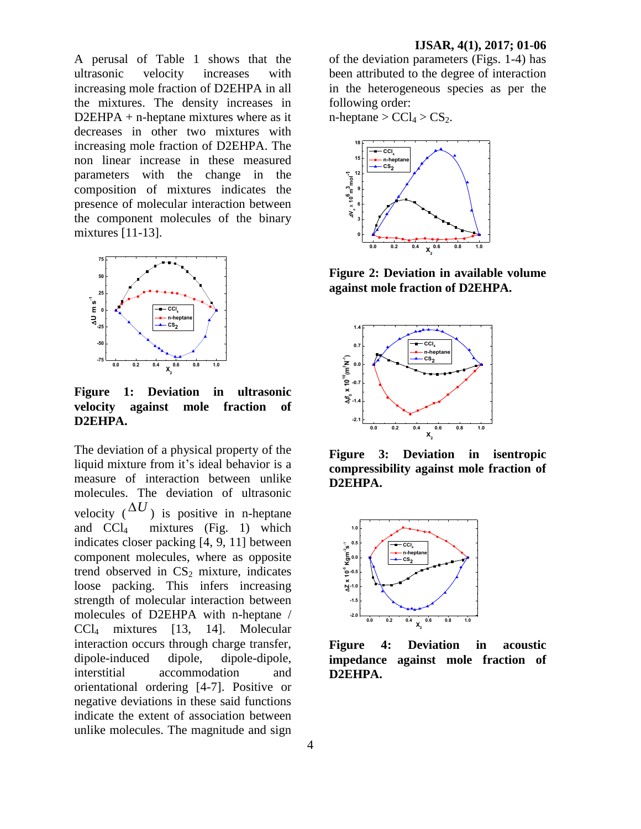A perusal of Table 1 shows that the ultrasonic velocity increases with increasing mole fraction of D2EHPA in all the mixtures. The density increases in D2EHPA + n-heptane mixtures where as it decreases in other two mixtures with increasing mole fraction of D2EHPA. The non linear increase in these measured parameters with the change in the composition of mixtures indicates the presence of molecular interaction between the component molecules of the binary mixtures [11-13].



**Figure 1: Deviation in ultrasonic velocity against mole fraction of D2EHPA.**

The deviation of a physical property of the liquid mixture from it's ideal behavior is a measure of interaction between unlike molecules. The deviation of ultrasonic velocity  $({\Delta}U)$  is positive in n-heptane and  $\overline{CCl}_4$  mixtures (Fig. 1) which indicates closer packing [4, 9, 11] between component molecules, where as opposite trend observed in  $CS<sub>2</sub>$  mixture, indicates loose packing. This infers increasing strength of molecular interaction between molecules of D2EHPA with n-heptane / CCl<sup>4</sup> mixtures [13, 14]. Molecular interaction occurs through charge transfer, dipole-induced dipole, dipole-dipole, interstitial accommodation and orientational ordering [4-7]. Positive or negative deviations in these said functions indicate the extent of association between unlike molecules. The magnitude and sign

of the deviation parameters (Figs. 1-4) has been attributed to the degree of interaction in the heterogeneous species as per the following order:

n-heptane  $> CCl_4 > CS_2$ .



**Figure 2: Deviation in available volume against mole fraction of D2EHPA.**



**Figure 3: Deviation in isentropic compressibility against mole fraction of D2EHPA.**



**Figure 4: Deviation in acoustic impedance against mole fraction of D2EHPA.**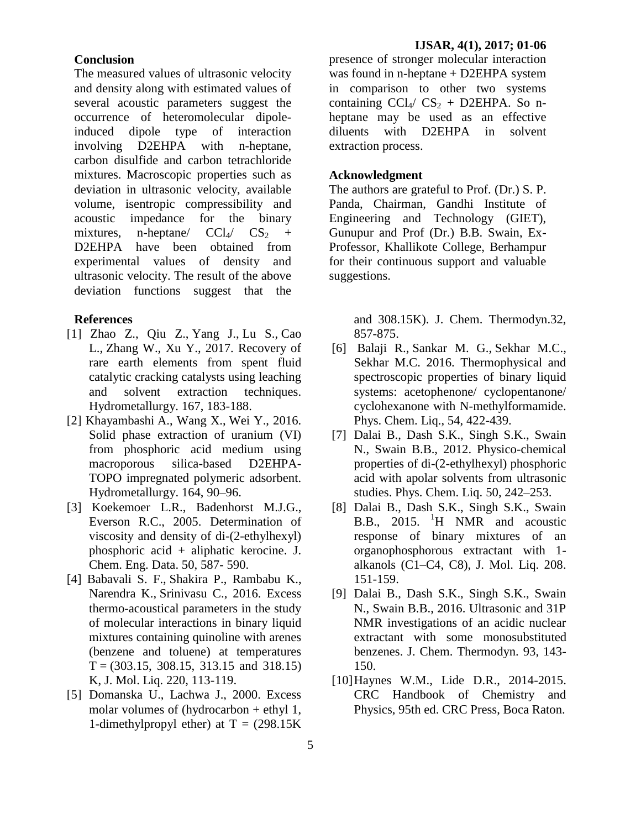#### **Conclusion**

The measured values of ultrasonic velocity and density along with estimated values of several acoustic parameters suggest the occurrence of heteromolecular dipoleinduced dipole type of interaction involving D2EHPA with n-heptane, carbon disulfide and carbon tetrachloride mixtures. Macroscopic properties such as deviation in ultrasonic velocity, available volume, isentropic compressibility and acoustic impedance for the binary mixtures, n-heptane/  $CCl_4$ /  $CS_2$  + D2EHPA have been obtained from experimental values of density and ultrasonic velocity. The result of the above deviation functions suggest that the

### **References**

- [1] [Zhao](http://www.sciencedirect.com/science/article/pii/S0304386X16301268) Z., [Qiu](http://www.sciencedirect.com/science/article/pii/S0304386X16301268) Z., [Yang](http://www.sciencedirect.com/science/article/pii/S0304386X16301268) J., [Lu](http://www.sciencedirect.com/science/article/pii/S0304386X16301268) S., [Cao](http://www.sciencedirect.com/science/article/pii/S0304386X16301268) L., [Zhang](http://www.sciencedirect.com/science/article/pii/S0304386X16301268) W., [Xu](http://www.sciencedirect.com/science/article/pii/S0304386X16301268) Y., 2017. Recovery of rare earth elements from spent fluid catalytic cracking catalysts using leaching and solvent extraction techniques. Hydrometallurgy. 167, 183-188.
- [2] [Khayambashi](http://www.sciencedirect.com/science/article/pii/S0304386X16302869) A., [Wang](http://www.sciencedirect.com/science/article/pii/S0304386X16302869) X., [Wei](http://www.sciencedirect.com/science/article/pii/S0304386X16302869) Y., 2016. Solid phase extraction of uranium (VI) from phosphoric acid medium using macroporous silica-based D2EHPA-TOPO impregnated polymeric adsorbent. [Hydrometallurgy.](http://www.sciencedirect.com/science/journal/0304386X) 164, 90–96.
- [3] Koekemoer L.R., Badenhorst M.J.G., Everson R.C., 2005. Determination of viscosity and density of di-(2-ethylhexyl) phosphoric acid + aliphatic kerocine. J. Chem. Eng. Data. 50, 587- 590.
- [4] [Babavali](http://www.sciencedirect.com/science/article/pii/S0167732215312575) S. F., [Shakira](http://www.sciencedirect.com/science/article/pii/S0167732215312575) P., [Rambabu](http://www.sciencedirect.com/science/article/pii/S0167732215312575) K., [Narendra](http://www.sciencedirect.com/science/article/pii/S0167732215312575) K., [Srinivasu](http://www.sciencedirect.com/science/article/pii/S0167732215312575) C., 2016. Excess thermo-acoustical parameters in the study of molecular interactions in binary liquid mixtures containing quinoline with arenes (benzene and toluene) at temperatures  $T = (303.15, 308.15, 313.15, 318.15)$ K, J. Mol. Liq. 220, 113-119.
- [5] Domanska U., Lachwa J., 2000. Excess molar volumes of (hydrocarbon + ethyl 1, 1-dimethylpropyl ether) at  $T = (298.15K)$

presence of stronger molecular interaction was found in n-heptane + D2EHPA system in comparison to other two systems containing  $\text{CCl}_4/\text{CS}_2 + \text{D2EHPA}$ . So nheptane may be used as an effective diluents with D2EHPA in solvent extraction process.

### **Acknowledgment**

The authors are grateful to Prof. (Dr.) S. P. Panda, Chairman, Gandhi Institute of Engineering and Technology (GIET), Gunupur and Prof (Dr.) B.B. Swain, Ex-Professor, Khallikote College, Berhampur for their continuous support and valuable suggestions.

> and 308.15K). J. Chem. Thermodyn.32, 857-875.

- [6] [Balaji](http://www.tandfonline.com/author/Balaji%2C+R) R., [Sankar](http://www.tandfonline.com/author/Gowri+Sankar%2C+M) M. G., [Sekhar](http://www.tandfonline.com/author/Chandra+Sekhar%2C+M) M.C., [Sekhar](http://www.tandfonline.com/author/Chandra+Sekhar%2C+M) M.C. 2016. Thermophysical and spectroscopic properties of binary liquid systems: acetophenone/ cyclopentanone/ cyclohexanone with N-methylformamide. Phys. Chem. Liq., 54, 422-439.
- [7] Dalai B., Dash S.K., Singh S.K., Swain N., Swain B.B., 2012. Physico-chemical properties of di-(2-ethylhexyl) phosphoric acid with apolar solvents from ultrasonic studies. Phys. Chem. Liq. 50, 242–253.
- [8] Dalai B., Dash S.K., Singh S.K., Swain B.B., 2015. <sup>1</sup>H NMR and acoustic response of binary mixtures of an organophosphorous extractant with 1 alkanols (C1–C4, C8), J. Mol. Liq. 208. 151-159.
- [9] Dalai B., Dash S.K., Singh S.K., Swain N., Swain B.B., 2016. Ultrasonic and 31P NMR investigations of an acidic nuclear extractant with some monosubstituted benzenes. J. Chem. Thermodyn. 93, 143- 150.
- [10]Haynes W.M., Lide D.R., 2014-2015. CRC Handbook of Chemistry and Physics, 95th ed. CRC Press, Boca Raton.